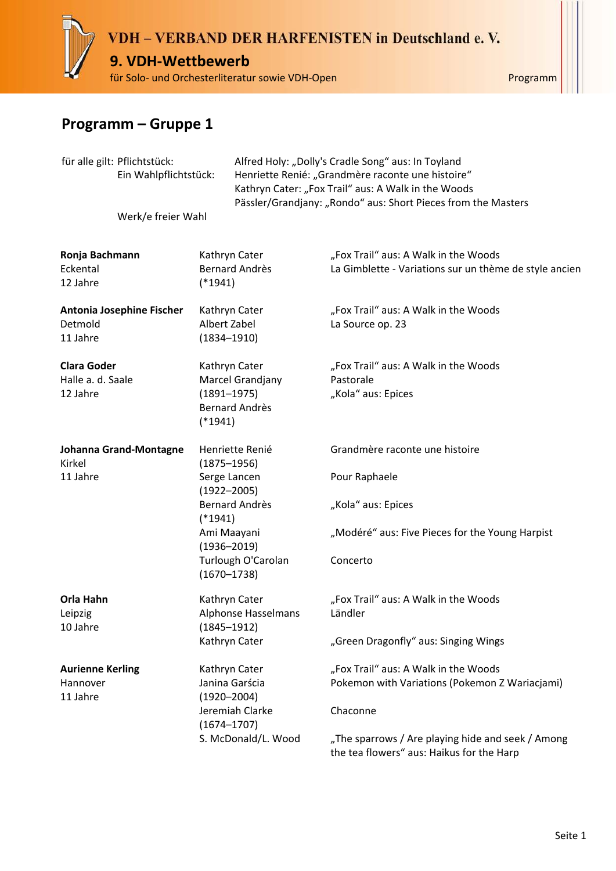

| für alle gilt: Pflichtstück:<br>Ein Wahlpflichtstück: |                                  |                                                                                            | Alfred Holy: "Dolly's Cradle Song" aus: In Toyland<br>Henriette Renié: "Grandmère raconte une histoire"<br>Kathryn Cater: "Fox Trail" aus: A Walk in the Woods<br>Pässler/Grandjany: "Rondo" aus: Short Pieces from the Masters |                                                                                                |  |
|-------------------------------------------------------|----------------------------------|--------------------------------------------------------------------------------------------|---------------------------------------------------------------------------------------------------------------------------------------------------------------------------------------------------------------------------------|------------------------------------------------------------------------------------------------|--|
|                                                       | Werk/e freier Wahl               |                                                                                            |                                                                                                                                                                                                                                 |                                                                                                |  |
| Ronja Bachmann<br>Eckental<br>12 Jahre                |                                  | Kathryn Cater<br><b>Bernard Andrès</b><br>$(*1941)$                                        |                                                                                                                                                                                                                                 | "Fox Trail" aus: A Walk in the Woods<br>La Gimblette - Variations sur un thème de style ancien |  |
| Detmold<br>11 Jahre                                   | <b>Antonia Josephine Fischer</b> | Kathryn Cater<br>Albert Zabel<br>$(1834 - 1910)$                                           |                                                                                                                                                                                                                                 | "Fox Trail" aus: A Walk in the Woods<br>La Source op. 23                                       |  |
| <b>Clara Goder</b><br>Halle a. d. Saale<br>12 Jahre   |                                  | Kathryn Cater<br>Marcel Grandjany<br>$(1891 - 1975)$<br><b>Bernard Andrès</b><br>$(*1941)$ |                                                                                                                                                                                                                                 | "Fox Trail" aus: A Walk in the Woods<br>Pastorale<br>"Kola" aus: Epices                        |  |
| Kirkel                                                | Johanna Grand-Montagne           | Henriette Renié<br>$(1875 - 1956)$                                                         |                                                                                                                                                                                                                                 | Grandmère raconte une histoire                                                                 |  |
| 11 Jahre                                              |                                  | Serge Lancen<br>$(1922 - 2005)$                                                            |                                                                                                                                                                                                                                 | Pour Raphaele                                                                                  |  |
|                                                       |                                  | <b>Bernard Andrès</b><br>$(*1941)$                                                         |                                                                                                                                                                                                                                 | "Kola" aus: Epices                                                                             |  |
|                                                       |                                  | Ami Maayani<br>$(1936 - 2019)$                                                             |                                                                                                                                                                                                                                 | "Modéré" aus: Five Pieces for the Young Harpist                                                |  |
|                                                       |                                  | $(1670 - 1738)$                                                                            | Turlough O'Carolan                                                                                                                                                                                                              | Concerto                                                                                       |  |
| Orla Hahn<br>Leipzig<br>10 Jahre                      |                                  | Kathryn Cater<br>$(1845 - 1912)$                                                           | Alphonse Hasselmans                                                                                                                                                                                                             | "Fox Trail" aus: A Walk in the Woods<br>Ländler                                                |  |
|                                                       |                                  | Kathryn Cater                                                                              |                                                                                                                                                                                                                                 | "Green Dragonfly" aus: Singing Wings                                                           |  |
| <b>Aurienne Kerling</b><br>Hannover<br>11 Jahre       |                                  | Kathryn Cater<br>Janina Garścia<br>$(1920 - 2004)$                                         |                                                                                                                                                                                                                                 | "Fox Trail" aus: A Walk in the Woods<br>Pokemon with Variations (Pokemon Z Wariacjami)         |  |
|                                                       |                                  | Jeremiah Clarke<br>$(1674 - 1707)$                                                         |                                                                                                                                                                                                                                 | Chaconne                                                                                       |  |
|                                                       |                                  |                                                                                            | S. McDonald/L. Wood                                                                                                                                                                                                             | "The sparrows / Are playing hide and seek / Among<br>the tea flowers" aus: Haikus for the Harp |  |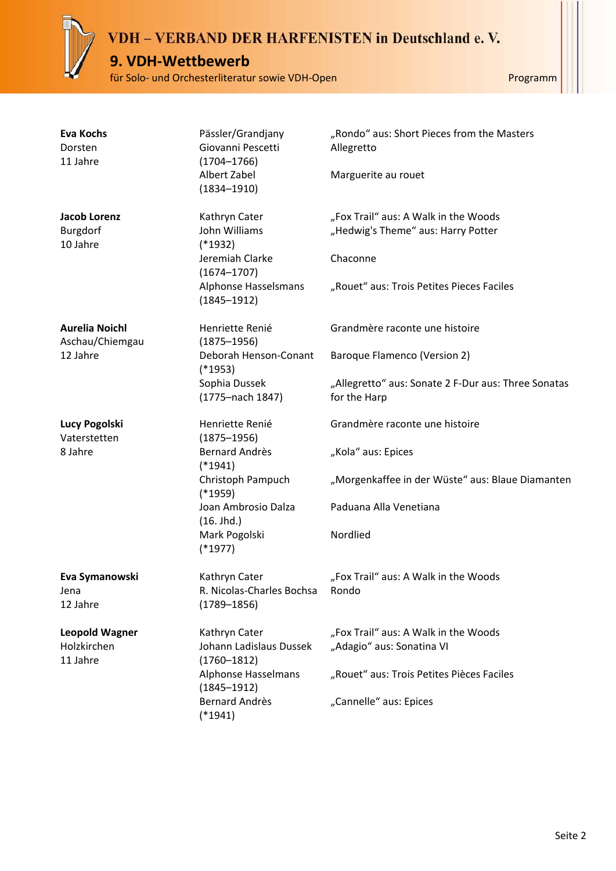#### **9. VDH-Wettbewerb**

für Solo- und Orchesterliteratur sowie VDH-Open Programm

| <b>Eva Kochs</b><br>Dorsten<br>11 Jahre  | Pässler/Grandjany<br>Giovanni Pescetti<br>$(1704 - 1766)$ | "Rondo" aus: Short Pieces from the Masters<br>Allegretto            |
|------------------------------------------|-----------------------------------------------------------|---------------------------------------------------------------------|
|                                          | Albert Zabel<br>$(1834 - 1910)$                           | Marguerite au rouet                                                 |
| <b>Jacob Lorenz</b>                      | Kathryn Cater                                             | "Fox Trail" aus: A Walk in the Woods                                |
| Burgdorf<br>10 Jahre                     | John Williams<br>$(*1932)$                                | "Hedwig's Theme" aus: Harry Potter                                  |
|                                          | Jeremiah Clarke<br>$(1674 - 1707)$                        | Chaconne                                                            |
|                                          | Alphonse Hasselsmans<br>$(1845 - 1912)$                   | "Rouet" aus: Trois Petites Pieces Faciles                           |
| <b>Aurelia Noichl</b><br>Aschau/Chiemgau | Henriette Renié<br>$(1875 - 1956)$                        | Grandmère raconte une histoire                                      |
| 12 Jahre                                 | Deborah Henson-Conant<br>$(*1953)$                        | Baroque Flamenco (Version 2)                                        |
|                                          | Sophia Dussek<br>(1775-nach 1847)                         | "Allegretto" aus: Sonate 2 F-Dur aus: Three Sonatas<br>for the Harp |
| Lucy Pogolski<br>Vaterstetten            | Henriette Renié<br>$(1875 - 1956)$                        | Grandmère raconte une histoire                                      |
| 8 Jahre                                  | Bernard Andrès<br>$(*1941)$                               | "Kola" aus: Epices                                                  |
|                                          | Christoph Pampuch<br>$(*1959)$                            | "Morgenkaffee in der Wüste" aus: Blaue Diamanten                    |
|                                          | Joan Ambrosio Dalza<br>(16. Jhd.)                         | Paduana Alla Venetiana                                              |
|                                          | Mark Pogolski<br>$(*1977)$                                | Nordlied                                                            |
| Eva Symanowski                           | Kathryn Cater                                             | "Fox Trail" aus: A Walk in the Woods                                |
| Jena<br>12 Jahre                         | R. Nicolas-Charles Bochsa<br>$(1789 - 1856)$              | Rondo                                                               |
| <b>Leopold Wagner</b>                    | Kathryn Cater                                             | "Fox Trail" aus: A Walk in the Woods                                |
| Holzkirchen<br>11 Jahre                  | Johann Ladislaus Dussek<br>$(1760 - 1812)$                | "Adagio" aus: Sonatina VI                                           |
|                                          | <b>Alphonse Hasselmans</b><br>$(1845 - 1912)$             | "Rouet" aus: Trois Petites Pièces Faciles                           |
|                                          | <b>Bernard Andrès</b><br>$(*1941)$                        | "Cannelle" aus: Epices                                              |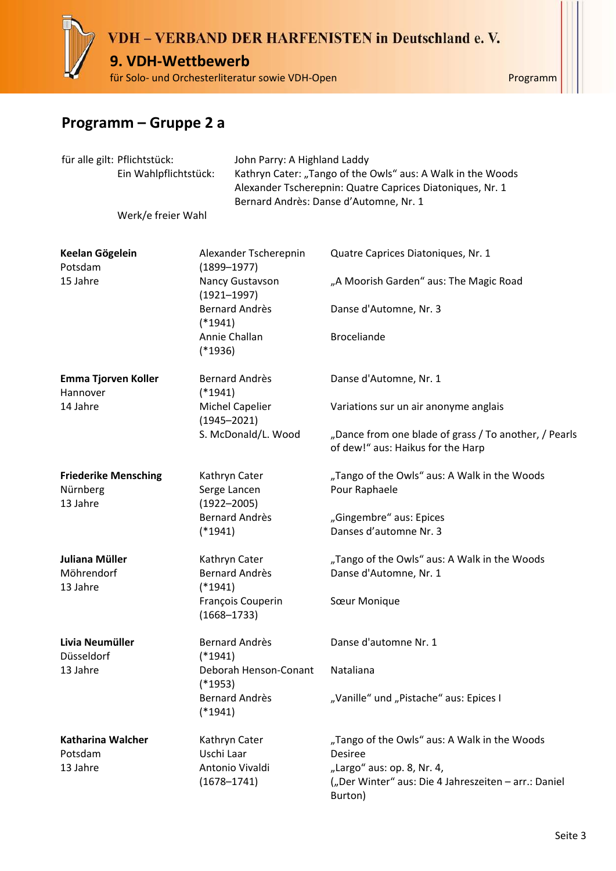

### **Programm – Gruppe 2 a**

| für alle gilt: Pflichtstück:<br>Ein Wahlpflichtstück:<br>Werk/e freier Wahl |  | John Parry: A Highland Laddy<br>Kathryn Cater: "Tango of the Owls" aus: A Walk in the Woods<br>Alexander Tscherepnin: Quatre Caprices Diatoniques, Nr. 1<br>Bernard Andrès: Danse d'Automne, Nr. 1 |                                                  |                                                                                              |
|-----------------------------------------------------------------------------|--|----------------------------------------------------------------------------------------------------------------------------------------------------------------------------------------------------|--------------------------------------------------|----------------------------------------------------------------------------------------------|
| Keelan Gögelein<br>Potsdam                                                  |  |                                                                                                                                                                                                    | Alexander Tscherepnin<br>$(1899 - 1977)$         | Quatre Caprices Diatoniques, Nr. 1                                                           |
| 15 Jahre                                                                    |  |                                                                                                                                                                                                    | Nancy Gustavson<br>$(1921 - 1997)$               | "A Moorish Garden" aus: The Magic Road                                                       |
|                                                                             |  | $(*1941)$                                                                                                                                                                                          | <b>Bernard Andrès</b>                            | Danse d'Automne, Nr. 3                                                                       |
|                                                                             |  | Annie Challan<br>$(*1936)$                                                                                                                                                                         |                                                  | <b>Broceliande</b>                                                                           |
| Emma Tjorven Koller<br>Hannover                                             |  | $(*1941)$                                                                                                                                                                                          | Bernard Andrès                                   | Danse d'Automne, Nr. 1                                                                       |
| 14 Jahre                                                                    |  |                                                                                                                                                                                                    | <b>Michel Capelier</b><br>$(1945 - 2021)$        | Variations sur un air anonyme anglais                                                        |
|                                                                             |  |                                                                                                                                                                                                    | S. McDonald/L. Wood                              | "Dance from one blade of grass / To another, / Pearls<br>of dew!" aus: Haikus for the Harp   |
| <b>Friederike Mensching</b><br>Nürnberg<br>13 Jahre                         |  |                                                                                                                                                                                                    | Kathryn Cater<br>Serge Lancen<br>$(1922 - 2005)$ | "Tango of the Owls" aus: A Walk in the Woods<br>Pour Raphaele                                |
|                                                                             |  | $(*1941)$                                                                                                                                                                                          | Bernard Andrès                                   | "Gingembre" aus: Epices<br>Danses d'automne Nr. 3                                            |
| Juliana Müller<br>Möhrendorf<br>13 Jahre                                    |  | $(*1941)$                                                                                                                                                                                          | Kathryn Cater<br>Bernard Andrès                  | "Tango of the Owls" aus: A Walk in the Woods<br>Danse d'Automne, Nr. 1                       |
|                                                                             |  |                                                                                                                                                                                                    | François Couperin<br>$(1668 - 1733)$             | Sœur Monique                                                                                 |
| Livia Neumüller<br>Düsseldorf                                               |  | $(*1941)$                                                                                                                                                                                          | Bernard Andrès                                   | Danse d'automne Nr. 1                                                                        |
| 13 Jahre                                                                    |  | $(*1953)$                                                                                                                                                                                          | Deborah Henson-Conant                            | Nataliana                                                                                    |
|                                                                             |  | $(*1941)$                                                                                                                                                                                          | Bernard Andrès                                   | "Vanille" und "Pistache" aus: Epices I                                                       |
| Katharina Walcher<br>Potsdam<br>13 Jahre                                    |  | Uschi Laar                                                                                                                                                                                         | Kathryn Cater<br>Antonio Vivaldi                 | "Tango of the Owls" aus: A Walk in the Woods<br><b>Desiree</b><br>"Largo" aus: op. 8, Nr. 4, |
|                                                                             |  |                                                                                                                                                                                                    | $(1678 - 1741)$                                  | ("Der Winter" aus: Die 4 Jahreszeiten - arr.: Daniel<br>Burton)                              |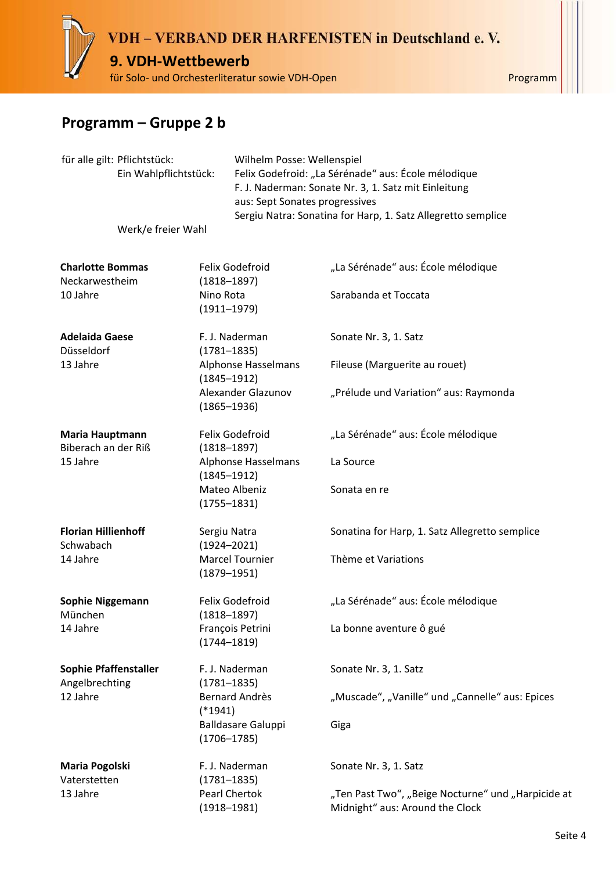## VDH - VERBAND DER HARFENISTEN in Deutschland e.V. **9. VDH-Wettbewerb** für Solo- und Orchesterliteratur sowie VDH-Open Programm

### **Programm – Gruppe 2 b**

| für alle gilt: Pflichtstück:<br>Ein Wahlpflichtstück: |                    | Wilhelm Posse: Wellenspiel<br>Felix Godefroid: "La Sérénade" aus: École mélodique<br>F. J. Naderman: Sonate Nr. 3, 1. Satz mit Einleitung<br>aus: Sept Sonates progressives<br>Sergiu Natra: Sonatina for Harp, 1. Satz Allegretto semplice |                                              |                                                                                       |
|-------------------------------------------------------|--------------------|---------------------------------------------------------------------------------------------------------------------------------------------------------------------------------------------------------------------------------------------|----------------------------------------------|---------------------------------------------------------------------------------------|
|                                                       | Werk/e freier Wahl |                                                                                                                                                                                                                                             |                                              |                                                                                       |
| <b>Charlotte Bommas</b>                               |                    |                                                                                                                                                                                                                                             | Felix Godefroid                              | "La Sérénade" aus: École mélodique                                                    |
| Neckarwestheim<br>10 Jahre                            |                    | Nino Rota                                                                                                                                                                                                                                   | $(1818 - 1897)$<br>$(1911 - 1979)$           | Sarabanda et Toccata                                                                  |
| <b>Adelaida Gaese</b><br>Düsseldorf                   |                    |                                                                                                                                                                                                                                             | F. J. Naderman<br>$(1781 - 1835)$            | Sonate Nr. 3, 1. Satz                                                                 |
| 13 Jahre                                              |                    |                                                                                                                                                                                                                                             | Alphonse Hasselmans<br>$(1845 - 1912)$       | Fileuse (Marguerite au rouet)                                                         |
|                                                       |                    | Alexander Glazunov<br>$(1865 - 1936)$                                                                                                                                                                                                       |                                              | "Prélude und Variation" aus: Raymonda                                                 |
| Maria Hauptmann<br>Biberach an der Riß                |                    |                                                                                                                                                                                                                                             | Felix Godefroid<br>$(1818 - 1897)$           | "La Sérénade" aus: École mélodique                                                    |
| 15 Jahre                                              |                    |                                                                                                                                                                                                                                             | Alphonse Hasselmans<br>$(1845 - 1912)$       | La Source                                                                             |
|                                                       |                    |                                                                                                                                                                                                                                             | Mateo Albeniz<br>$(1755 - 1831)$             | Sonata en re                                                                          |
| <b>Florian Hillienhoff</b><br>Schwabach               |                    |                                                                                                                                                                                                                                             | Sergiu Natra<br>$(1924 - 2021)$              | Sonatina for Harp, 1. Satz Allegretto semplice                                        |
| 14 Jahre                                              |                    |                                                                                                                                                                                                                                             | Marcel Tournier<br>$(1879 - 1951)$           | Thème et Variations                                                                   |
| <b>Sophie Niggemann</b><br>München                    |                    |                                                                                                                                                                                                                                             | Felix Godefroid<br>$(1818 - 1897)$           | "La Sérénade" aus: École mélodique                                                    |
| 14 Jahre                                              |                    |                                                                                                                                                                                                                                             | François Petrini<br>$(1744 - 1819)$          | La bonne aventure ô gué                                                               |
| <b>Sophie Pfaffenstaller</b><br>Angelbrechting        |                    |                                                                                                                                                                                                                                             | F. J. Naderman<br>$(1781 - 1835)$            | Sonate Nr. 3, 1. Satz                                                                 |
| 12 Jahre                                              |                    | $(*1941)$                                                                                                                                                                                                                                   | Bernard Andrès                               | "Muscade", "Vanille" und "Cannelle" aus: Epices                                       |
|                                                       |                    |                                                                                                                                                                                                                                             | <b>Balldasare Galuppi</b><br>$(1706 - 1785)$ | Giga                                                                                  |
| Maria Pogolski<br>Vaterstetten                        |                    |                                                                                                                                                                                                                                             | F. J. Naderman<br>$(1781 - 1835)$            | Sonate Nr. 3, 1. Satz                                                                 |
| 13 Jahre                                              |                    |                                                                                                                                                                                                                                             | Pearl Chertok<br>$(1918 - 1981)$             | "Ten Past Two", "Beige Nocturne" und "Harpicide at<br>Midnight" aus: Around the Clock |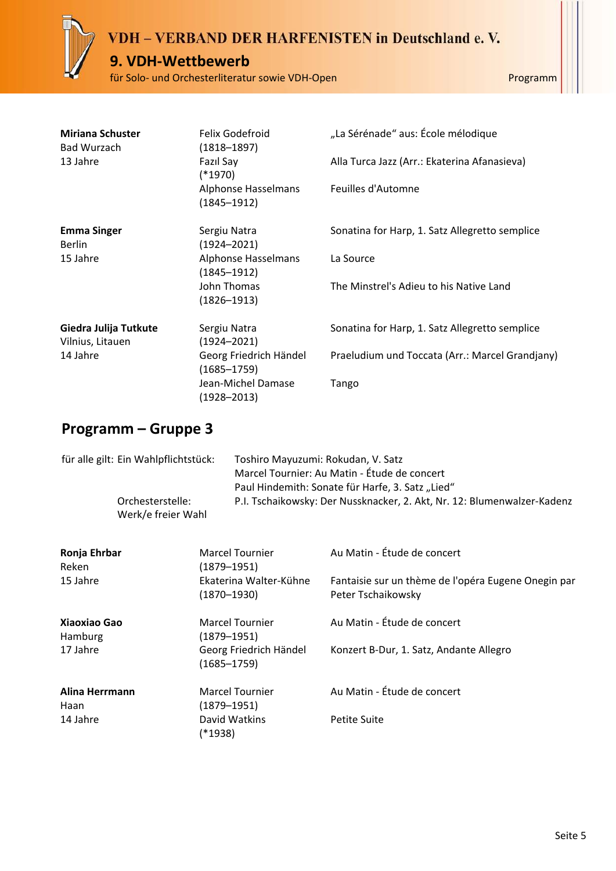#### **9. VDH-Wettbewerb**

für Solo- und Orchesterliteratur sowie VDH-Open Programm

| <b>Miriana Schuster</b><br>Bad Wurzach    | Felix Godefroid<br>$(1818 - 1897)$        | "La Sérénade" aus: École mélodique              |
|-------------------------------------------|-------------------------------------------|-------------------------------------------------|
| 13 Jahre                                  | Fazıl Say<br>$(*1970)$                    | Alla Turca Jazz (Arr.: Ekaterina Afanasieva)    |
|                                           | Alphonse Hasselmans<br>$(1845 - 1912)$    | Feuilles d'Automne                              |
| <b>Emma Singer</b><br><b>Berlin</b>       | Sergiu Natra<br>$(1924 - 2021)$           | Sonatina for Harp, 1. Satz Allegretto semplice  |
| 15 Jahre                                  | Alphonse Hasselmans<br>$(1845 - 1912)$    | La Source                                       |
|                                           | John Thomas<br>$(1826 - 1913)$            | The Minstrel's Adieu to his Native Land         |
| Giedra Julija Tutkute<br>Vilnius, Litauen | Sergiu Natra<br>$(1924 - 2021)$           | Sonatina for Harp, 1. Satz Allegretto semplice  |
| 14 Jahre                                  | Georg Friedrich Händel<br>$(1685 - 1759)$ | Praeludium und Toccata (Arr.: Marcel Grandjany) |
|                                           | Jean-Michel Damase<br>(1928–2013)         | Tango                                           |

| für alle gilt: Ein Wahlpflichtstück: |                                        |                                           | Toshiro Mayuzumi: Rokudan, V. Satz<br>Marcel Tournier: Au Matin - Étude de concert<br>Paul Hindemith: Sonate für Harfe, 3. Satz "Lied" |  |  |
|--------------------------------------|----------------------------------------|-------------------------------------------|----------------------------------------------------------------------------------------------------------------------------------------|--|--|
|                                      | Orchesterstelle:<br>Werk/e freier Wahl |                                           | P.I. Tschaikowsky: Der Nussknacker, 2. Akt, Nr. 12: Blumenwalzer-Kadenz                                                                |  |  |
| Ronja Ehrbar<br>Reken                |                                        | <b>Marcel Tournier</b><br>(1879–1951)     | Au Matin - Étude de concert                                                                                                            |  |  |
| 15 Jahre                             |                                        | Ekaterina Walter-Kühne<br>$(1870 - 1930)$ | Fantaisie sur un thème de l'opéra Eugene Onegin par<br>Peter Tschaikowsky                                                              |  |  |
| <b>Xiaoxiao Gao</b><br>Hamburg       |                                        | <b>Marcel Tournier</b><br>(1879–1951)     | Au Matin - Étude de concert                                                                                                            |  |  |
| 17 Jahre                             |                                        | Georg Friedrich Händel<br>$(1685 - 1759)$ | Konzert B-Dur, 1. Satz, Andante Allegro                                                                                                |  |  |
| Alina Herrmann<br>Haan               |                                        | <b>Marcel Tournier</b><br>(1879–1951)     | Au Matin - Étude de concert                                                                                                            |  |  |
| 14 Jahre                             |                                        | David Watkins<br>(*1938)                  | <b>Petite Suite</b>                                                                                                                    |  |  |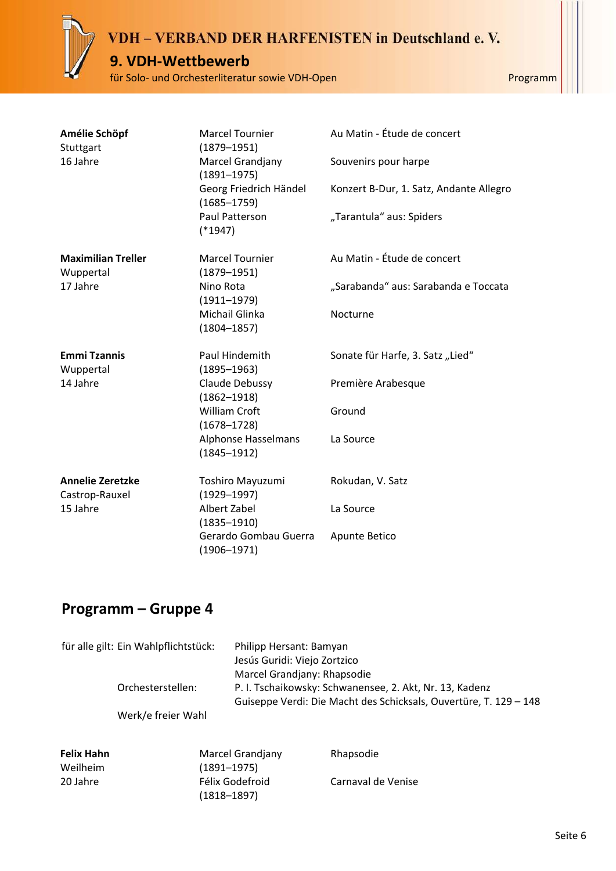#### **9. VDH-Wettbewerb**

für Solo- und Orchesterliteratur sowie VDH-Open Programm

| Amélie Schöpf<br>Stuttgart                | <b>Marcel Tournier</b><br>$(1879 - 1951)$ | Au Matin - Étude de concert             |
|-------------------------------------------|-------------------------------------------|-----------------------------------------|
| 16 Jahre                                  | Marcel Grandjany<br>$(1891 - 1975)$       | Souvenirs pour harpe                    |
|                                           | Georg Friedrich Händel<br>$(1685 - 1759)$ | Konzert B-Dur, 1. Satz, Andante Allegro |
|                                           | Paul Patterson<br>$(*1947)$               | "Tarantula" aus: Spiders                |
| <b>Maximilian Treller</b><br>Wuppertal    | <b>Marcel Tournier</b><br>$(1879 - 1951)$ | Au Matin - Étude de concert             |
| 17 Jahre                                  | Nino Rota<br>$(1911 - 1979)$              | "Sarabanda" aus: Sarabanda e Toccata    |
|                                           | Michail Glinka<br>$(1804 - 1857)$         | Nocturne                                |
| <b>Emmi Tzannis</b><br>Wuppertal          | Paul Hindemith<br>$(1895 - 1963)$         | Sonate für Harfe, 3. Satz "Lied"        |
| 14 Jahre                                  | Claude Debussy<br>$(1862 - 1918)$         | Première Arabesque                      |
|                                           | <b>William Croft</b><br>$(1678 - 1728)$   | Ground                                  |
|                                           | Alphonse Hasselmans<br>$(1845 - 1912)$    | La Source                               |
| <b>Annelie Zeretzke</b><br>Castrop-Rauxel | Toshiro Mayuzumi<br>$(1929 - 1997)$       | Rokudan, V. Satz                        |
| 15 Jahre                                  | Albert Zabel<br>$(1835 - 1910)$           | La Source                               |
|                                           | Gerardo Gombau Guerra<br>$(1906 - 1971)$  | Apunte Betico                           |

|                               | für alle gilt: Ein Wahlpflichtstück:<br>Orchesterstellen:<br>Werk/e freier Wahl | Philipp Hersant: Bamyan<br>Jesús Guridi: Viejo Zortzico<br>Marcel Grandjany: Rhapsodie<br>P. I. Tschaikowsky: Schwanensee, 2. Akt, Nr. 13, Kadenz<br>Guiseppe Verdi: Die Macht des Schicksals, Ouvertüre, T. 129 - 148 |                    |
|-------------------------------|---------------------------------------------------------------------------------|------------------------------------------------------------------------------------------------------------------------------------------------------------------------------------------------------------------------|--------------------|
| <b>Felix Hahn</b><br>Weilheim |                                                                                 | Marcel Grandjany<br>$(1891 - 1975)$                                                                                                                                                                                    | Rhapsodie          |
| 20 Jahre                      |                                                                                 | Félix Godefroid<br>(1818–1897)                                                                                                                                                                                         | Carnaval de Venise |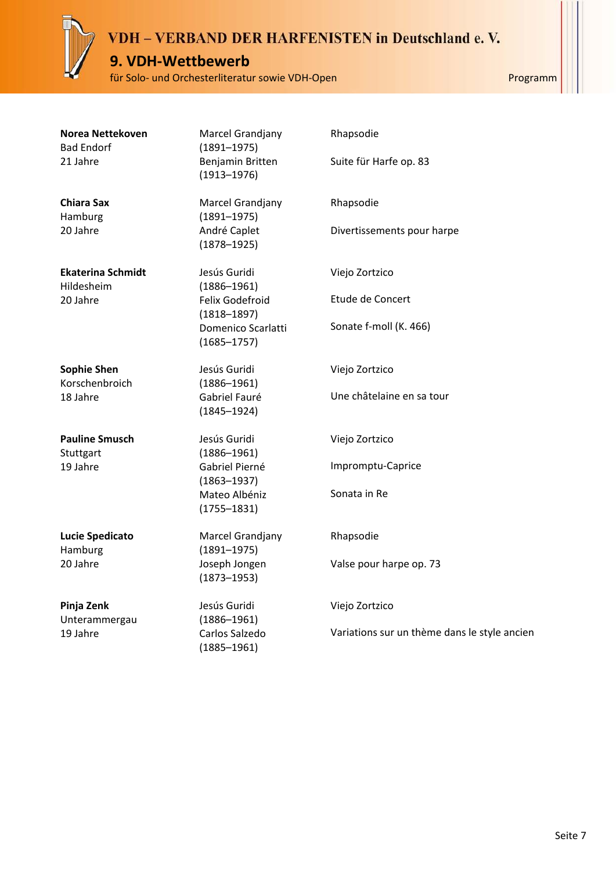#### **9. VDH-Wettbewerb**

für Solo- und Orchesterliteratur sowie VDH-Open Programm

| Norea Nettekoven  |
|-------------------|
| <b>Bad Endorf</b> |
| 21 Jahre          |

**Chiara Sax** Hamburg 20 Jahre

**Ekaterina Schmidt** Hildesheim 20 Jahre

**Sophie Shen** Korschenbroich 18 Jahre

**Pauline Smusch Stuttgart** 19 Jahre

**Lucie Spedicato** Hamburg 20 Jahre

**Pinja Zenk** Unterammergau 19 Jahre

Marcel Grandjany (1891–1975) Benjamin Britten (1913–1976)

Marcel Grandjany (1891–1975) André Caplet (1878–1925)

Jesús Guridi (1886–1961) Felix Godefroid (1818–1897) Domenico Scarlatti (1685–1757)

Jesús Guridi (1886–1961) Gabriel Fauré (1845–1924)

Jesús Guridi (1886–1961) Gabriel Pierné (1863–1937) Mateo Albéniz (1755–1831)

Marcel Grandjany (1891–1975) Joseph Jongen (1873–1953)

Jesús Guridi (1886–1961) Carlos Salzedo (1885–1961)

Rhapsodie Divertissements pour harpe Viejo Zortzico Etude de Concert

Suite für Harfe op. 83

Rhapsodie

Sonate f-moll (K. 466)

Viejo Zortzico

Une châtelaine en sa tour

Viejo Zortzico

Impromptu-Caprice

Sonata in Re

Rhapsodie

Valse pour harpe op. 73

Viejo Zortzico

Variations sur un thème dans le style ancien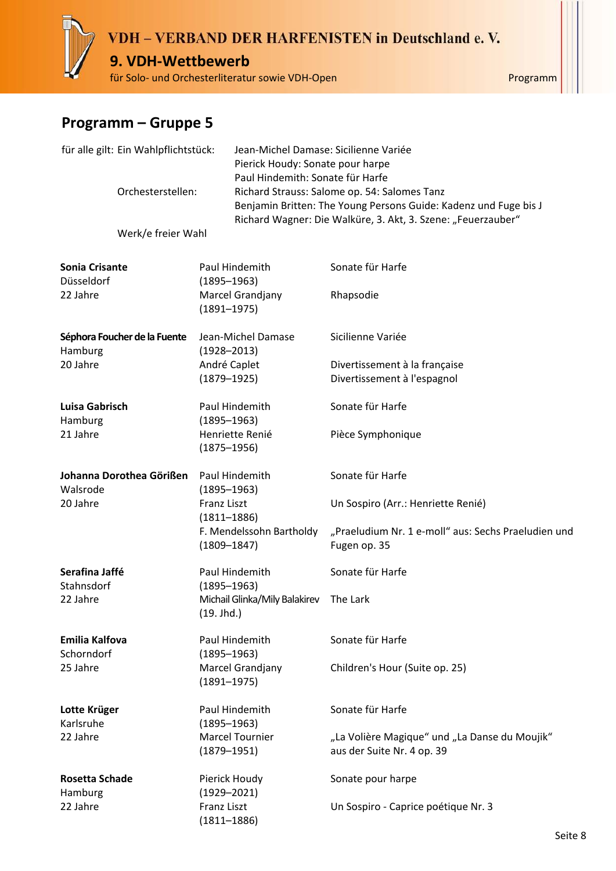# VDH - VERBAND DER HARFENISTEN in Deutschland e.V. **9. VDH-Wettbewerb**

für Solo- und Orchesterliteratur sowie VDH-Open Programm

| für alle gilt: Ein Wahlpflichtstück:<br>Orchesterstellen: |                              |                                             | Jean-Michel Damase: Sicilienne Variée<br>Pierick Houdy: Sonate pour harpe<br>Paul Hindemith: Sonate für Harfe                                                                    |  |  |
|-----------------------------------------------------------|------------------------------|---------------------------------------------|----------------------------------------------------------------------------------------------------------------------------------------------------------------------------------|--|--|
|                                                           |                              |                                             | Richard Strauss: Salome op. 54: Salomes Tanz<br>Benjamin Britten: The Young Persons Guide: Kadenz und Fuge bis J<br>Richard Wagner: Die Walküre, 3. Akt, 3. Szene: "Feuerzauber" |  |  |
|                                                           | Werk/e freier Wahl           |                                             |                                                                                                                                                                                  |  |  |
| <b>Sonia Crisante</b><br>Düsseldorf                       |                              | Paul Hindemith<br>$(1895 - 1963)$           | Sonate für Harfe                                                                                                                                                                 |  |  |
| 22 Jahre                                                  |                              | Marcel Grandjany<br>$(1891 - 1975)$         | Rhapsodie                                                                                                                                                                        |  |  |
| Hamburg                                                   | Séphora Foucher de la Fuente | Jean-Michel Damase<br>$(1928 - 2013)$       | Sicilienne Variée                                                                                                                                                                |  |  |
| 20 Jahre                                                  |                              | André Caplet                                | Divertissement à la française                                                                                                                                                    |  |  |
|                                                           |                              | $(1879 - 1925)$                             | Divertissement à l'espagnol                                                                                                                                                      |  |  |
| Luisa Gabrisch<br>Hamburg                                 |                              | Paul Hindemith<br>$(1895 - 1963)$           | Sonate für Harfe                                                                                                                                                                 |  |  |
| 21 Jahre                                                  |                              | Henriette Renié<br>$(1875 - 1956)$          | Pièce Symphonique                                                                                                                                                                |  |  |
| Johanna Dorothea Görißen<br>Walsrode                      |                              | Paul Hindemith<br>$(1895 - 1963)$           | Sonate für Harfe                                                                                                                                                                 |  |  |
| 20 Jahre                                                  |                              | Franz Liszt<br>$(1811 - 1886)$              | Un Sospiro (Arr.: Henriette Renié)                                                                                                                                               |  |  |
|                                                           |                              | F. Mendelssohn Bartholdy<br>$(1809 - 1847)$ | "Praeludium Nr. 1 e-moll" aus: Sechs Praeludien und<br>Fugen op. 35                                                                                                              |  |  |
| Serafina Jaffé<br>Stahnsdorf                              |                              | Paul Hindemith<br>$(1895 - 1963)$           | Sonate für Harfe                                                                                                                                                                 |  |  |
| 22 Jahre                                                  |                              | Michail Glinka/Mily Balakirev<br>(19. Jhd.) | The Lark                                                                                                                                                                         |  |  |
| Emilia Kalfova<br>Schorndorf                              |                              | Paul Hindemith<br>$(1895 - 1963)$           | Sonate für Harfe                                                                                                                                                                 |  |  |
| 25 Jahre                                                  |                              | Marcel Grandjany<br>$(1891 - 1975)$         | Children's Hour (Suite op. 25)                                                                                                                                                   |  |  |
| Lotte Krüger<br>Karlsruhe                                 |                              | Paul Hindemith<br>$(1895 - 1963)$           | Sonate für Harfe                                                                                                                                                                 |  |  |
| 22 Jahre                                                  |                              | <b>Marcel Tournier</b><br>$(1879 - 1951)$   | "La Volière Magique" und "La Danse du Moujik"<br>aus der Suite Nr. 4 op. 39                                                                                                      |  |  |
| <b>Rosetta Schade</b><br>Hamburg                          |                              | Pierick Houdy<br>$(1929 - 2021)$            | Sonate pour harpe                                                                                                                                                                |  |  |
| 22 Jahre                                                  |                              | <b>Franz Liszt</b><br>$(1811 - 1886)$       | Un Sospiro - Caprice poétique Nr. 3                                                                                                                                              |  |  |